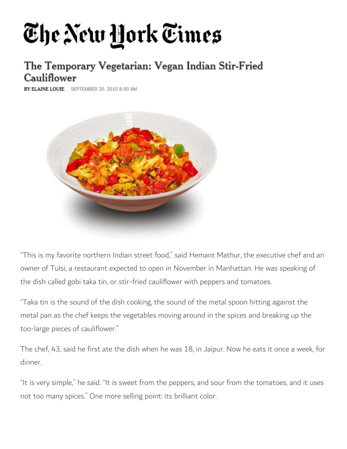## The New York Times

## The Temporary Vegetarian: Vegan Indian Stir-Fried **Cauliflower**

**BY ELAINE LOUIE** SEPTEMBER 20, 2010 8:00 AM



"This is my favorite northern Indian street food," said Hemant Mathur, the executive chef and an owner of Tulsi, a restaurant expected to open in November in Manhattan. He was speaking of the dish called gobi taka tin, or stir-fried cauliflower with peppers and tomatoes.

"Taka tin is the sound of the dish cooking, the sound of the metal spoon hitting against the metal pan as the chef keeps the vegetables moving around in the spices and breaking up the too-large pieces of cauliflower."

The chef, 43, said he first ate the dish when he was 18, in Jaipur. Now he eats it once a week, for dinner.

"It is very simple," he said. "It is sweet from the peppers, and sour from the tomatoes, and it uses not too many spices." One more selling point: its brilliant color.